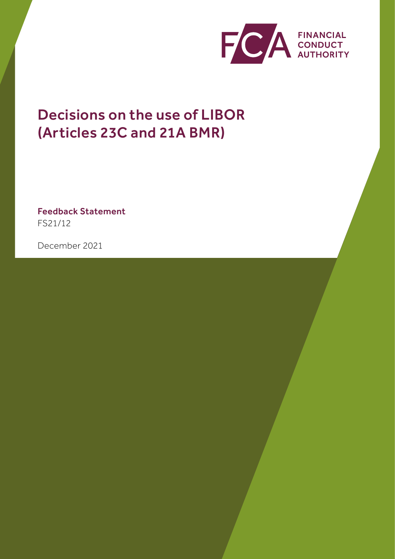

# Decisions on the use of LIBOR (Articles 23C and 21A BMR)

Feedback Statement FS21/12

December 2021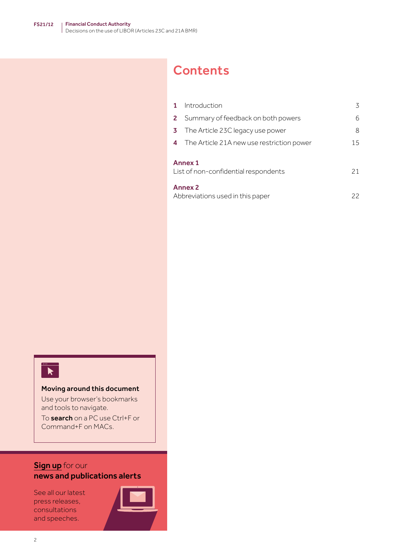## **Contents**

|                                                       | Introduction                              | 3  |
|-------------------------------------------------------|-------------------------------------------|----|
| 2                                                     | Summary of feedback on both powers        | 6  |
| 3                                                     | The Article 23C legacy use power          | 8  |
| 4                                                     | The Article 21A new use restriction power | 15 |
| Annex 1<br>List of non-confidential respondents<br>21 |                                           |    |
| <b>Annex 2</b><br>Abbreviations used in this paper    |                                           | 22 |



#### Moving around this document

Use your browser's bookmarks and tools to navigate.

To search on a PC use Ctrl+F or Command+F on MACs.

### **[Sign up](https://www.fca.org.uk/news-and-publications-email-alerts?doc=#utm_source=signup&utm_medium=document&utm_campaign=newsandpubs)** for our news and publications alerts

See all our latest press releases, consultations and speeches.

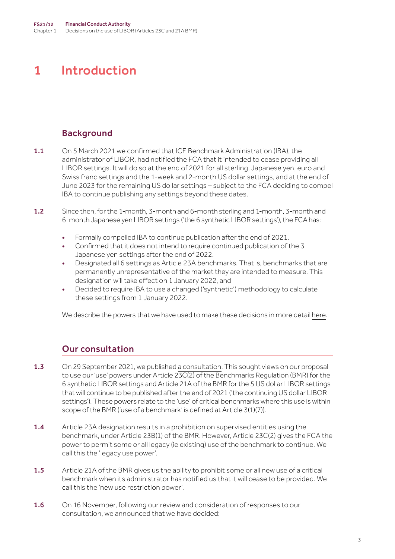## <span id="page-2-0"></span>1 Introduction

### Background

- 1.1 On 5 March 2021 we confirmed that ICE Benchmark Administration (IBA), the administrator of LIBOR, had notified the FCA that it intended to cease providing all LIBOR settings. It will do so at the end of 2021 for all sterling, Japanese yen, euro and Swiss franc settings and the 1-week and 2-month US dollar settings, and at the end of June 2023 for the remaining US dollar settings – subject to the FCA deciding to compel IBA to continue publishing any settings beyond these dates.
- 1.2 Since then, for the 1-month, 3-month and 6-month sterling and 1-month, 3-month and 6-month Japanese yen LIBOR settings ('the 6 synthetic LIBOR settings'), the FCA has:
	- Formally compelled IBA to continue publication after the end of 2021.
	- Confirmed that it does not intend to require continued publication of the 3 Japanese yen settings after the end of 2022.
	- Designated all 6 settings as Article 23A benchmarks. That is, benchmarks that are permanently unrepresentative of the market they are intended to measure. This designation will take effect on 1 January 2022, and
	- Decided to require IBA to use a changed ('synthetic') methodology to calculate these settings from 1 January 2022.

We describe the powers that we have used to make these decisions in more detail [here](https://www.fca.org.uk/markets/transition-libor/benchmarks-regulation-new-powers-policy-decision-making).

### Our consultation

- **1.3** On 29 September 2021, we published [a consultation.](https://www.fca.org.uk/publication/consultation/cp21-29.pdf) This sought views on our proposal to use our 'use' powers under Article 23C(2) of the Benchmarks Regulation (BMR) for the 6 synthetic LIBOR settings and Article 21A of the BMR for the 5 US dollar LIBOR settings that will continue to be published after the end of 2021 ('the continuing US dollar LIBOR settings'). These powers relate to the 'use' of critical benchmarks where this use is within scope of the BMR ('use of a benchmark' is defined at Article 3(1)(7)).
- 1.4 Article 23A designation results in a prohibition on supervised entities using the benchmark, under Article 23B(1) of the BMR. However, Article 23C(2) gives the FCA the power to permit some or all legacy (ie existing) use of the benchmark to continue. We call this the 'legacy use power'.
- 1.5 Article 21A of the BMR gives us the ability to prohibit some or all new use of a critical benchmark when its administrator has notified us that it will cease to be provided. We call this the 'new use restriction power'.
- 1.6 On 16 November, following our review and consideration of responses to our consultation, we announced that we have decided: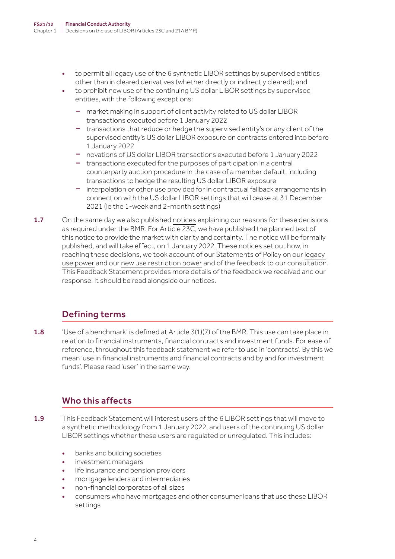- to permit all legacy use of the 6 synthetic LIBOR settings by supervised entities other than in cleared derivatives (whether directly or indirectly cleared); and
- to prohibit new use of the continuing US dollar LIBOR settings by supervised entities, with the following exceptions:
	- market making in support of client activity related to US dollar LIBOR transactions executed before 1 January 2022
	- transactions that reduce or hedge the supervised entity's or any client of the supervised entity's US dollar LIBOR exposure on contracts entered into before 1 January 2022
	- novations of US dollar LIBOR transactions executed before 1 January 2022
	- transactions executed for the purposes of participation in a central counterparty auction procedure in the case of a member default, including transactions to hedge the resulting US dollar LIBOR exposure
	- interpolation or other use provided for in contractual fallback arrangements in connection with the US dollar LIBOR settings that will cease at 31 December 2021 (ie the 1-week and 2-month settings)
- 1.7 On the same day we also published [notices](https://www.fca.org.uk/news/press-releases/fca-confirms-rules-legacy-use-synthetic-libor-no-new-use-us-dollar-libor) explaining our reasons for these decisions as required under the BMR. For Article 23C, we have published the planned text of this notice to provide the market with clarity and certainty. The notice will be formally published, and will take effect, on 1 January 2022. These notices set out how, in reaching these decisions, we took account of our Statements of Policy on our [legacy](https://www.fca.org.uk/publication/policy/statement-policy-23c-critical-benchmarks.pdf)  [use power](https://www.fca.org.uk/publication/policy/statement-policy-23c-critical-benchmarks.pdf) and our [new use restriction power](https://www.fca.org.uk/publication/policy/statement-policy-21a-critical-benchmarks.pdf) and of the feedback to our consultation. This Feedback Statement provides more details of the feedback we received and our response. It should be read alongside our notices.

## Defining terms

1.8 'Use of a benchmark' is defined at Article 3(1)(7) of the BMR. This use can take place in relation to financial instruments, financial contracts and investment funds. For ease of reference, throughout this feedback statement we refer to use in 'contracts'. By this we mean 'use in financial instruments and financial contracts and by and for investment funds'. Please read 'user' in the same way.

## Who this affects

- 1.9 This Feedback Statement will interest users of the 6 LIBOR settings that will move to a synthetic methodology from 1 January 2022, and users of the continuing US dollar LIBOR settings whether these users are regulated or unregulated. This includes:
	- banks and building societies
	- investment managers
	- life insurance and pension providers
	- mortgage lenders and intermediaries
	- non-financial corporates of all sizes
	- consumers who have mortgages and other consumer loans that use these LIBOR settings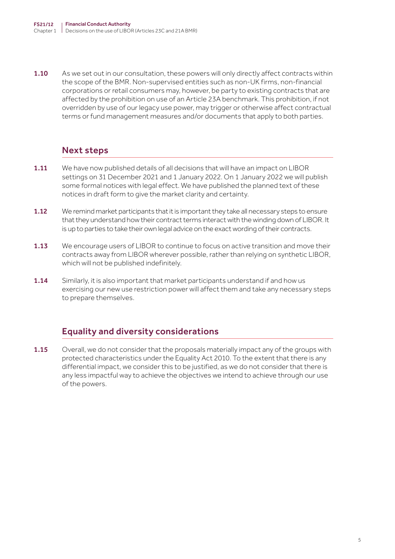1.10 As we set out in our consultation, these powers will only directly affect contracts within the scope of the BMR. Non-supervised entities such as non-UK firms, non-financial corporations or retail consumers may, however, be party to existing contracts that are affected by the prohibition on use of an Article 23A benchmark. This prohibition, if not overridden by use of our legacy use power, may trigger or otherwise affect contractual terms or fund management measures and/or documents that apply to both parties.

## Next steps

- 1.11 We have now published details of all decisions that will have an impact on LIBOR settings on 31 December 2021 and 1 January 2022. On 1 January 2022 we will publish some formal notices with legal effect. We have published the planned text of these notices in draft form to give the market clarity and certainty.
- 1.12 We remind market participants that it is important they take all necessary steps to ensure that they understand how their contract terms interact with the winding down of LIBOR. It is up to parties to take their own legal advice on the exact wording of their contracts.
- **1.13** We encourage users of LIBOR to continue to focus on active transition and move their contracts away from LIBOR wherever possible, rather than relying on synthetic LIBOR, which will not be published indefinitely.
- 1.14 Similarly, it is also important that market participants understand if and how us exercising our new use restriction power will affect them and take any necessary steps to prepare themselves.

## Equality and diversity considerations

1.15 Overall, we do not consider that the proposals materially impact any of the groups with protected characteristics under the Equality Act 2010. To the extent that there is any differential impact, we consider this to be justified, as we do not consider that there is any less impactful way to achieve the objectives we intend to achieve through our use of the powers.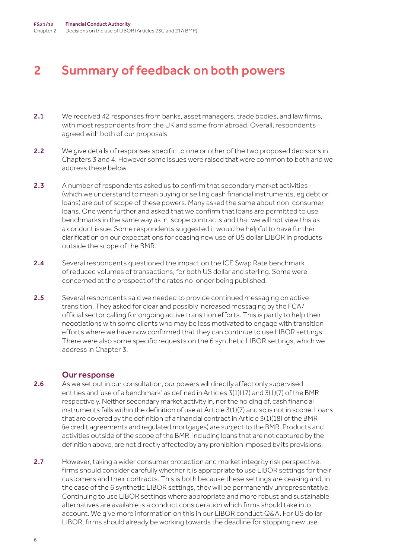## <span id="page-5-0"></span>2 Summary of feedback on both powers

- 2.1 We received 42 responses from banks, asset managers, trade bodies, and law firms, with most respondents from the UK and some from abroad. Overall, respondents agreed with both of our proposals.
- 2.2 We give details of responses specific to one or other of the two proposed decisions in Chapters 3 and 4. However some issues were raised that were common to both and we address these below.
- 2.3 A number of respondents asked us to confirm that secondary market activities (which we understand to mean buying or selling cash financial instruments, eg debt or loans) are out of scope of these powers. Many asked the same about non-consumer loans. One went further and asked that we confirm that loans are permitted to use benchmarks in the same way as in-scope contracts and that we will not view this as a conduct issue. Some respondents suggested it would be helpful to have further clarification on our expectations for ceasing new use of US dollar LIBOR in products outside the scope of the BMR.
- 2.4 Several respondents questioned the impact on the ICE Swap Rate benchmark of reduced volumes of transactions, for both US dollar and sterling. Some were concerned at the prospect of the rates no longer being published.
- 2.5 Several respondents said we needed to provide continued messaging on active transition. They asked for clear and possibly increased messaging by the FCA/ official sector calling for ongoing active transition efforts. This is partly to help their negotiations with some clients who may be less motivated to engage with transition efforts where we have now confirmed that they can continue to use LIBOR settings. There were also some specific requests on the 6 synthetic LIBOR settings, which we address in Chapter 3.

- 2.6 As we set out in our consultation, our powers will directly affect only supervised entities and 'use of a benchmark' as defined in Articles  $3(1)(17)$  and  $3(1)(7)$  of the BMR respectively. Neither secondary market activity in, nor the holding of, cash financial instruments falls within the definition of use at Article 3(1)(7) and so is not in scope. Loans that are covered by the definition of a financial contract in Article 3(1)(18) of the BMR (ie credit agreements and regulated mortgages) are subject to the BMR. Products and activities outside of the scope of the BMR, including loans that are not captured by the definition above, are not directly affected by any prohibition imposed by its provisions.
- 2.7 However, taking a wider consumer protection and market integrity risk perspective. firms should consider carefully whether it is appropriate to use LIBOR settings for their customers and their contracts. This is both because these settings are ceasing and, in the case of the 6 synthetic LIBOR settings, they will be permanently unrepresentative. Continuing to use LIBOR settings where appropriate and more robust and sustainable alternatives are available is a conduct consideration which firms should take into account. We give more information on this in our [LIBOR conduct Q&A.](https://www.fca.org.uk/markets/libor/conduct-risk-during-libor-transition) For US dollar LIBOR, firms should already be working towards the deadline for stopping new use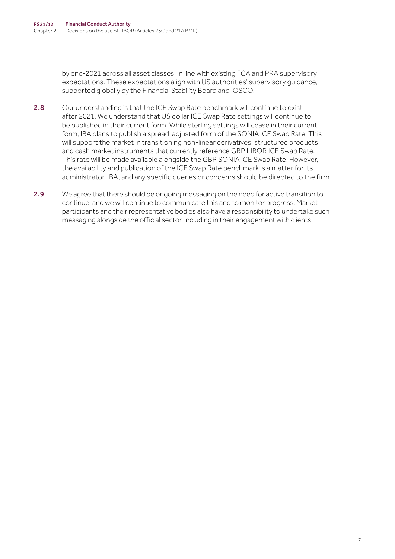by end-2021 across all asset classes, in line with existing FCA and PRA [supervisory](https://www.bankofengland.co.uk/-/media/boe/files/prudential-regulation/letter/2021/march/transition-from-libor-to-risk-free-rates.pdf)  [expectations](https://www.bankofengland.co.uk/-/media/boe/files/prudential-regulation/letter/2021/march/transition-from-libor-to-risk-free-rates.pdf). These expectations align with US authorities' [supervisory guidance](https://www.federalreserve.gov/newsevents/pressreleases/files/bcreg20201130a1.pdf), supported globally by the [Financial Stability Board](https://www.fsb.org/wp-content/uploads/P020621-4.pdf) and [IOSCO](https://www.iosco.org/library/pubdocs/pdf/IOSCOPD676.pdf).

- 2.8 Our understanding is that the ICE Swap Rate benchmark will continue to exist after 2021. We understand that US dollar ICE Swap Rate settings will continue to be published in their current form. While sterling settings will cease in their current form, IBA plans to publish a spread-adjusted form of the SONIA ICE Swap Rate. This will support the market in transitioning non-linear derivatives, structured products and cash market instruments that currently reference GBP LIBOR ICE Swap Rate. [This rate](https://www.theice.com/iba/ice-swap-rate) will be made available alongside the GBP SONIA ICE Swap Rate. However, the availability and publication of the ICE Swap Rate benchmark is a matter for its administrator, IBA, and any specific queries or concerns should be directed to the firm.
- 2.9 We agree that there should be ongoing messaging on the need for active transition to continue, and we will continue to communicate this and to monitor progress. Market participants and their representative bodies also have a responsibility to undertake such messaging alongside the official sector, including in their engagement with clients.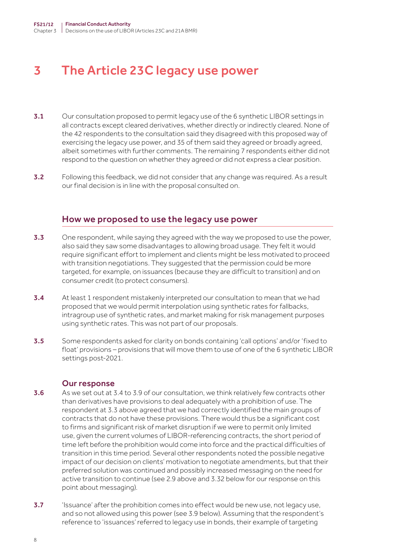## <span id="page-7-0"></span>3 The Article 23C legacy use power

- 3.1 Our consultation proposed to permit legacy use of the 6 synthetic LIBOR settings in all contracts except cleared derivatives, whether directly or indirectly cleared. None of the 42 respondents to the consultation said they disagreed with this proposed way of exercising the legacy use power, and 35 of them said they agreed or broadly agreed, albeit sometimes with further comments. The remaining 7 respondents either did not respond to the question on whether they agreed or did not express a clear position.
- 3.2 Following this feedback, we did not consider that any change was required. As a result our final decision is in line with the proposal consulted on.

#### How we proposed to use the legacy use power

- 3.3 One respondent, while saying they agreed with the way we proposed to use the power, also said they saw some disadvantages to allowing broad usage. They felt it would require significant effort to implement and clients might be less motivated to proceed with transition negotiations. They suggested that the permission could be more targeted, for example, on issuances (because they are difficult to transition) and on consumer credit (to protect consumers).
- 3.4 At least 1 respondent mistakenly interpreted our consultation to mean that we had proposed that we would permit interpolation using synthetic rates for fallbacks, intragroup use of synthetic rates, and market making for risk management purposes using synthetic rates. This was not part of our proposals.
- 3.5 Some respondents asked for clarity on bonds containing 'call options' and/or 'fixed to float' provisions – provisions that will move them to use of one of the 6 synthetic LIBOR settings post-2021.

- 3.6 As we set out at 3.4 to 3.9 of our consultation, we think relatively few contracts other than derivatives have provisions to deal adequately with a prohibition of use. The respondent at 3.3 above agreed that we had correctly identified the main groups of contracts that do not have these provisions. There would thus be a significant cost to firms and significant risk of market disruption if we were to permit only limited use, given the current volumes of LIBOR-referencing contracts, the short period of time left before the prohibition would come into force and the practical difficulties of transition in this time period. Several other respondents noted the possible negative impact of our decision on clients' motivation to negotiate amendments, but that their preferred solution was continued and possibly increased messaging on the need for active transition to continue (see 2.9 above and 3.32 below for our response on this point about messaging).
- **3.7** 'Issuance' after the prohibition comes into effect would be new use, not legacy use, and so not allowed using this power (see 3.9 below). Assuming that the respondent's reference to 'issuances' referred to legacy use in bonds, their example of targeting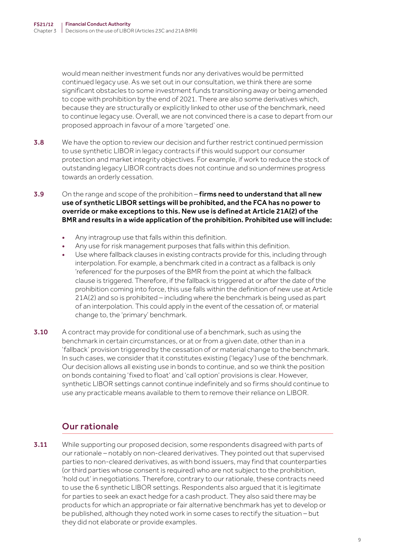would mean neither investment funds nor any derivatives would be permitted continued legacy use. As we set out in our consultation, we think there are some significant obstacles to some investment funds transitioning away or being amended to cope with prohibition by the end of 2021. There are also some derivatives which, because they are structurally or explicitly linked to other use of the benchmark, need to continue legacy use. Overall, we are not convinced there is a case to depart from our proposed approach in favour of a more 'targeted' one.

- **3.8** We have the option to review our decision and further restrict continued permission to use synthetic LIBOR in legacy contracts if this would support our consumer protection and market integrity objectives. For example, if work to reduce the stock of outstanding legacy LIBOR contracts does not continue and so undermines progress towards an orderly cessation.
- 3.9 On the range and scope of the prohibition firms need to understand that all new use of synthetic LIBOR settings will be prohibited, and the FCA has no power to override or make exceptions to this. New use is defined at Article 21A(2) of the BMR and results in a wide application of the prohibition. Prohibited use will include:
	- Any intragroup use that falls within this definition.
	- Any use for risk management purposes that falls within this definition.
	- Use where fallback clauses in existing contracts provide for this, including through interpolation. For example, a benchmark cited in a contract as a fallback is only 'referenced' for the purposes of the BMR from the point at which the fallback clause is triggered. Therefore, if the fallback is triggered at or after the date of the prohibition coming into force, this use falls within the definition of new use at Article 21A(2) and so is prohibited – including where the benchmark is being used as part of an interpolation. This could apply in the event of the cessation of, or material change to, the 'primary' benchmark.
- 3.10 A contract may provide for conditional use of a benchmark, such as using the benchmark in certain circumstances, or at or from a given date, other than in a 'fallback' provision triggered by the cessation of or material change to the benchmark. In such cases, we consider that it constitutes existing ('legacy') use of the benchmark. Our decision allows all existing use in bonds to continue, and so we think the position on bonds containing 'fixed to float' and 'call option' provisions is clear. However, synthetic LIBOR settings cannot continue indefinitely and so firms should continue to use any practicable means available to them to remove their reliance on LIBOR.

## Our rationale

**3.11** While supporting our proposed decision, some respondents disagreed with parts of our rationale – notably on non-cleared derivatives. They pointed out that supervised parties to non-cleared derivatives, as with bond issuers, may find that counterparties (or third parties whose consent is required) who are not subject to the prohibition, 'hold out' in negotiations. Therefore, contrary to our rationale, these contracts need to use the 6 synthetic LIBOR settings. Respondents also argued that it is legitimate for parties to seek an exact hedge for a cash product. They also said there may be products for which an appropriate or fair alternative benchmark has yet to develop or be published, although they noted work in some cases to rectify the situation – but they did not elaborate or provide examples.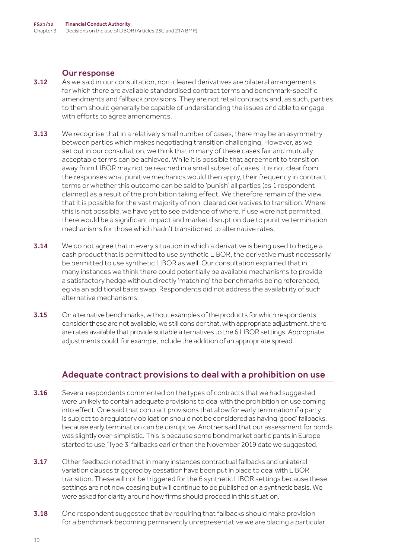#### Our response

- 3.12 As we said in our consultation, non-cleared derivatives are bilateral arrangements for which there are available standardised contract terms and benchmark-specific amendments and fallback provisions. They are not retail contracts and, as such, parties to them should generally be capable of understanding the issues and able to engage with efforts to agree amendments.
- **3.13** We recognise that in a relatively small number of cases, there may be an asymmetry between parties which makes negotiating transition challenging. However, as we set out in our consultation, we think that in many of these cases fair and mutually acceptable terms can be achieved. While it is possible that agreement to transition away from LIBOR may not be reached in a small subset of cases, it is not clear from the responses what punitive mechanics would then apply, their frequency in contract terms or whether this outcome can be said to 'punish' all parties (as 1 respondent claimed) as a result of the prohibition taking effect. We therefore remain of the view that it is possible for the vast majority of non-cleared derivatives to transition. Where this is not possible, we have yet to see evidence of where, if use were not permitted, there would be a significant impact and market disruption due to punitive termination mechanisms for those which hadn't transitioned to alternative rates.
- **3.14** We do not agree that in every situation in which a derivative is being used to hedge a cash product that is permitted to use synthetic LIBOR, the derivative must necessarily be permitted to use synthetic LIBOR as well. Our consultation explained that in many instances we think there could potentially be available mechanisms to provide a satisfactory hedge without directly 'matching' the benchmarks being referenced, eg via an additional basis swap. Respondents did not address the availability of such alternative mechanisms.
- **3.15** On alternative benchmarks, without examples of the products for which respondents consider these are not available, we still consider that, with appropriate adjustment, there are rates available that provide suitable alternatives to the 6 LIBOR settings. Appropriate adjustments could, for example, include the addition of an appropriate spread.

#### Adequate contract provisions to deal with a prohibition on use

- **3.16** Several respondents commented on the types of contracts that we had suggested were unlikely to contain adequate provisions to deal with the prohibition on use coming into effect. One said that contract provisions that allow for early termination if a party is subject to a regulatory obligation should not be considered as having 'good' fallbacks, because early termination can be disruptive. Another said that our assessment for bonds was slightly over-simplistic. This is because some bond market participants in Europe started to use 'Type 3' fallbacks earlier than the November 2019 date we suggested.
- 3.17 Other feedback noted that in many instances contractual fallbacks and unilateral variation clauses triggered by cessation have been put in place to deal with LIBOR transition. These will not be triggered for the 6 synthetic LIBOR settings because these settings are not now ceasing but will continue to be published on a synthetic basis. We were asked for clarity around how firms should proceed in this situation.
- 3.18 One respondent suggested that by requiring that fallbacks should make provision for a benchmark becoming permanently unrepresentative we are placing a particular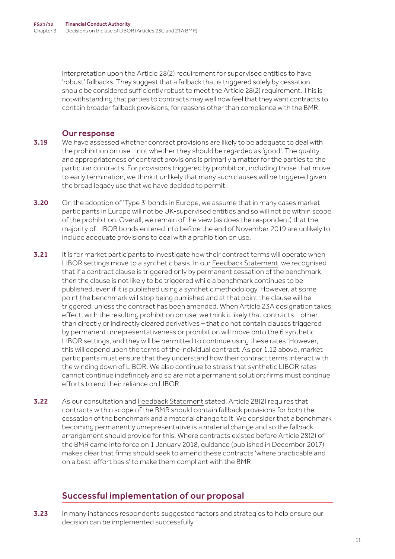interpretation upon the Article 28(2) requirement for supervised entities to have 'robust' fallbacks. They suggest that a fallback that is triggered solely by cessation should be considered sufficiently robust to meet the Article 28(2) requirement. This is notwithstanding that parties to contracts may well now feel that they want contracts to contain broader fallback provisions, for reasons other than compliance with the BMR.

#### Our response

- **3.19** We have assessed whether contract provisions are likely to be adequate to deal with the prohibition on use – not whether they should be regarded as 'good'. The quality and appropriateness of contract provisions is primarily a matter for the parties to the particular contracts. For provisions triggered by prohibition, including those that move to early termination, we think it unlikely that many such clauses will be triggered given the broad legacy use that we have decided to permit.
- **3.20** On the adoption of 'Type 3' bonds in Europe, we assume that in many cases market participants in Europe will not be UK-supervised entities and so will not be within scope of the prohibition. Overall, we remain of the view (as does the respondent) that the majority of LIBOR bonds entered into before the end of November 2019 are unlikely to include adequate provisions to deal with a prohibition on use.
- 3.21 It is for market participants to investigate how their contract terms will operate when LIBOR settings move to a synthetic basis. In our [Feedback Statement](https://www.fca.org.uk/publication/feedback/fs21-10.pdf), we recognised that if a contract clause is triggered only by permanent cessation of the benchmark, then the clause is not likely to be triggered while a benchmark continues to be published, even if it is published using a synthetic methodology. However, at some point the benchmark will stop being published and at that point the clause will be triggered, unless the contract has been amended. When Article 23A designation takes effect, with the resulting prohibition on use, we think it likely that contracts – other than directly or indirectly cleared derivatives – that do not contain clauses triggered by permanent unrepresentativeness or prohibition will move onto the 6 synthetic LIBOR settings, and they will be permitted to continue using these rates. However, this will depend upon the terms of the individual contract. As per 1.12 above, market participants must ensure that they understand how their contract terms interact with the winding down of LIBOR. We also continue to stress that synthetic LIBOR rates cannot continue indefinitely and so are not a permanent solution: firms must continue efforts to end their reliance on LIBOR.
- 3.22 As our consultation and [Feedback Statement](https://www.fca.org.uk/publication/feedback/fs21-10.pdf) stated, Article 28(2) requires that contracts within scope of the BMR should contain fallback provisions for both the cessation of the benchmark and a material change to it. We consider that a benchmark becoming permanently unrepresentative is a material change and so the fallback arrangement should provide for this. Where contracts existed before Article 28(2) of the BMR came into force on 1 January 2018, guidance (published in December 2017) makes clear that firms should seek to amend these contracts 'where practicable and on a best-effort basis' to make them compliant with the BMR.

### Successful implementation of our proposal

3.23 In many instances respondents suggested factors and strategies to help ensure our decision can be implemented successfully.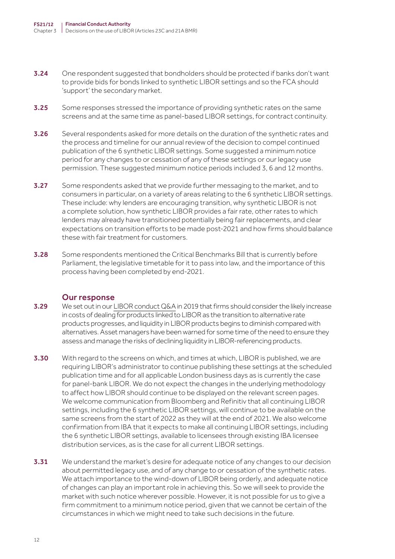- 3.24 One respondent suggested that bondholders should be protected if banks don't want to provide bids for bonds linked to synthetic LIBOR settings and so the FCA should 'support' the secondary market.
- 3.25 Some responses stressed the importance of providing synthetic rates on the same screens and at the same time as panel-based LIBOR settings, for contract continuity.
- **3.26** Several respondents asked for more details on the duration of the synthetic rates and the process and timeline for our annual review of the decision to compel continued publication of the 6 synthetic LIBOR settings. Some suggested a minimum notice period for any changes to or cessation of any of these settings or our legacy use permission. These suggested minimum notice periods included 3, 6 and 12 months.
- **3.27** Some respondents asked that we provide further messaging to the market, and to consumers in particular, on a variety of areas relating to the 6 synthetic LIBOR settings. These include: why lenders are encouraging transition, why synthetic LIBOR is not a complete solution, how synthetic LIBOR provides a fair rate, other rates to which lenders may already have transitioned potentially being fair replacements, and clear expectations on transition efforts to be made post-2021 and how firms should balance these with fair treatment for customers.
- 3.28 Some respondents mentioned the Critical Benchmarks Bill that is currently before Parliament, the legislative timetable for it to pass into law, and the importance of this process having been completed by end-2021.

- 3.29 We set out in our [LIBOR conduct Q&A](https://www.fca.org.uk/markets/libor/conduct-risk-during-libor-transition) in 2019 that firms should consider the likely increase in costs of dealing for products linked to LIBOR as the transition to alternative rate products progresses, and liquidity in LIBOR products begins to diminish compared with alternatives. Asset managers have been warned for some time of the need to ensure they assess and manage the risks of declining liquidity in LIBOR-referencing products.
- 3.30 With regard to the screens on which, and times at which, LIBOR is published, we are requiring LIBOR's administrator to continue publishing these settings at the scheduled publication time and for all applicable London business days as is currently the case for panel-bank LIBOR. We do not expect the changes in the underlying methodology to affect how LIBOR should continue to be displayed on the relevant screen pages. We welcome communication from Bloomberg and Refinitiv that all continuing LIBOR settings, including the 6 synthetic LIBOR settings, will continue to be available on the same screens from the start of 2022 as they will at the end of 2021. We also welcome confirmation from IBA that it expects to make all continuing LIBOR settings, including the 6 synthetic LIBOR settings, available to licensees through existing IBA licensee distribution services, as is the case for all current LIBOR settings.
- **3.31** We understand the market's desire for adequate notice of any changes to our decision about permitted legacy use, and of any change to or cessation of the synthetic rates. We attach importance to the wind-down of LIBOR being orderly, and adequate notice of changes can play an important role in achieving this. So we will seek to provide the market with such notice wherever possible. However, it is not possible for us to give a firm commitment to a minimum notice period, given that we cannot be certain of the circumstances in which we might need to take such decisions in the future.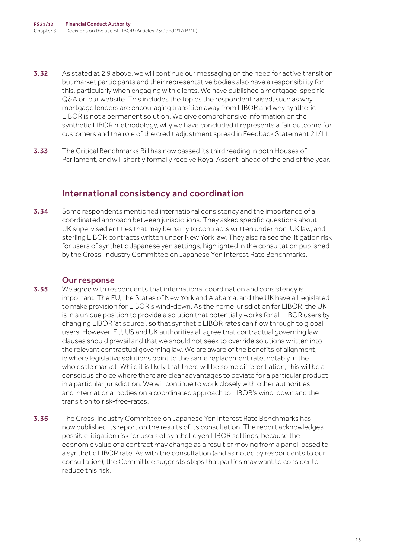- **3.32** As stated at 2.9 above, we will continue our messaging on the need for active transition but market participants and their representative bodies also have a responsibility for this, particularly when engaging with clients. We have published a [mortgage-specific](https://www.fca.org.uk/consumers/mortgage-interest-rates-libor)  [Q&A](https://www.fca.org.uk/consumers/mortgage-interest-rates-libor) on our website. This includes the topics the respondent raised, such as why mortgage lenders are encouraging transition away from LIBOR and why synthetic LIBOR is not a permanent solution. We give comprehensive information on the synthetic LIBOR methodology, why we have concluded it represents a fair outcome for customers and the role of the credit adjustment spread in [Feedback Statement 21/11.](https://www.fca.org.uk/publication/feedback/fs21-11.pdf)
- **3.33** The Critical Benchmarks Bill has now passed its third reading in both Houses of Parliament, and will shortly formally receive Royal Assent, ahead of the end of the year.

### International consistency and coordination

**3.34** Some respondents mentioned international consistency and the importance of a coordinated approach between jurisdictions. They asked specific questions about UK supervised entities that may be party to contracts written under non-UK law, and sterling LIBOR contracts written under New York law. They also raised the litigation risk for users of synthetic Japanese yen settings, highlighted in the [consultation](https://www.boj.or.jp/en/paym/market/jpy_cmte/index.htm/) published by the Cross-Industry Committee on Japanese Yen Interest Rate Benchmarks.

- **3.35** We agree with respondents that international coordination and consistency is important. The EU, the States of New York and Alabama, and the UK have all legislated to make provision for LIBOR's wind-down. As the home jurisdiction for LIBOR, the UK is in a unique position to provide a solution that potentially works for all LIBOR users by changing LIBOR 'at source', so that synthetic LIBOR rates can flow through to global users. However, EU, US and UK authorities all agree that contractual governing law clauses should prevail and that we should not seek to override solutions written into the relevant contractual governing law. We are aware of the benefits of alignment, ie where legislative solutions point to the same replacement rate, notably in the wholesale market. While it is likely that there will be some differentiation, this will be a conscious choice where there are clear advantages to deviate for a particular product in a particular jurisdiction. We will continue to work closely with other authorities and international bodies on a coordinated approach to LIBOR's wind-down and the transition to risk-free-rates.
- **3.36** The Cross-Industry Committee on Japanese Yen Interest Rate Benchmarks has now published its [report](https://www.boj.or.jp/en/paym/market/jpy_cmte/cmt211119a.pdf) on the results of its consultation. The report acknowledges possible litigation risk for users of synthetic yen LIBOR settings, because the economic value of a contract may change as a result of moving from a panel-based to a synthetic LIBOR rate. As with the consultation (and as noted by respondents to our consultation), the Committee suggests steps that parties may want to consider to reduce this risk.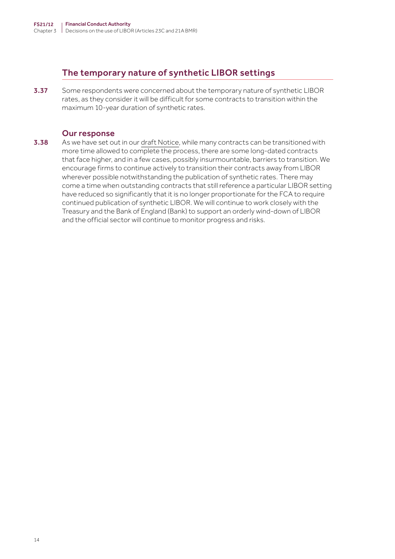## The temporary nature of synthetic LIBOR settings

3.37 Some respondents were concerned about the temporary nature of synthetic LIBOR rates, as they consider it will be difficult for some contracts to transition within the maximum 10-year duration of synthetic rates.

#### Our response

3.38 As we have set out in our [draft Notice](https://www.fca.org.uk/publication/libor-notices/article-23c-benchmarks-regulation-draft-permitted-legacy-notice.pdf), while many contracts can be transitioned with more time allowed to complete the process, there are some long-dated contracts that face higher, and in a few cases, possibly insurmountable, barriers to transition. We encourage firms to continue actively to transition their contracts away from LIBOR wherever possible notwithstanding the publication of synthetic rates. There may come a time when outstanding contracts that still reference a particular LIBOR setting have reduced so significantly that it is no longer proportionate for the FCA to require continued publication of synthetic LIBOR. We will continue to work closely with the Treasury and the Bank of England (Bank) to support an orderly wind-down of LIBOR and the official sector will continue to monitor progress and risks.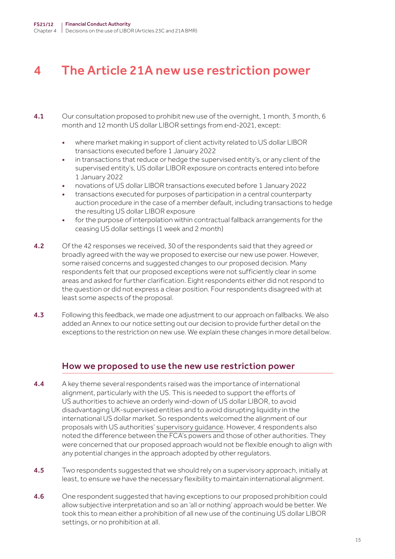## <span id="page-14-0"></span>4 The Article 21A new use restriction power

- 4.1 Our consultation proposed to prohibit new use of the overnight, 1 month, 3 month, 6 month and 12 month US dollar LIBOR settings from end-2021, except:
	- where market making in support of client activity related to US dollar LIBOR transactions executed before 1 January 2022
	- in transactions that reduce or hedge the supervised entity's, or any client of the supervised entity's, US dollar LIBOR exposure on contracts entered into before 1 January 2022
	- novations of US dollar LIBOR transactions executed before 1 January 2022
	- transactions executed for purposes of participation in a central counterparty auction procedure in the case of a member default, including transactions to hedge the resulting US dollar LIBOR exposure
	- for the purpose of interpolation within contractual fallback arrangements for the ceasing US dollar settings (1 week and 2 month)
- **4.2** Of the 42 responses we received, 30 of the respondents said that they agreed or broadly agreed with the way we proposed to exercise our new use power. However, some raised concerns and suggested changes to our proposed decision. Many respondents felt that our proposed exceptions were not sufficiently clear in some areas and asked for further clarification. Eight respondents either did not respond to the question or did not express a clear position. Four respondents disagreed with at least some aspects of the proposal.
- 4.3 Following this feedback, we made one adjustment to our approach on fallbacks. We also added an Annex to our notice setting out our decision to provide further detail on the exceptions to the restriction on new use. We explain these changes in more detail below.

#### How we proposed to use the new use restriction power

- 4.4 A key theme several respondents raised was the importance of international alignment, particularly with the US. This is needed to support the efforts of US authorities to achieve an orderly wind-down of US dollar LIBOR, to avoid disadvantaging UK-supervised entities and to avoid disrupting liquidity in the international US dollar market. So respondents welcomed the alignment of our proposals with US authorities' [supervisory guidance](https://www.federalreserve.gov/newsevents/pressreleases/files/bcreg20201130a1.pdf). However, 4 respondents also noted the difference between the FCA's powers and those of other authorities. They were concerned that our proposed approach would not be flexible enough to align with any potential changes in the approach adopted by other regulators.
- 4.5 Two respondents suggested that we should rely on a supervisory approach, initially at least, to ensure we have the necessary flexibility to maintain international alignment.
- **4.6** One respondent suggested that having exceptions to our proposed prohibition could allow subjective interpretation and so an 'all or nothing' approach would be better. We took this to mean either a prohibition of all new use of the continuing US dollar LIBOR settings, or no prohibition at all.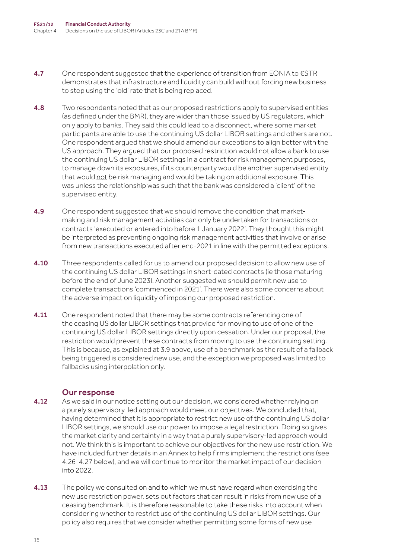- 4.7 One respondent suggested that the experience of transition from EONIA to  $\epsilon$ STR demonstrates that infrastructure and liquidity can build without forcing new business to stop using the 'old' rate that is being replaced.
- 4.8 Two respondents noted that as our proposed restrictions apply to supervised entities (as defined under the BMR), they are wider than those issued by US regulators, which only apply to banks. They said this could lead to a disconnect, where some market participants are able to use the continuing US dollar LIBOR settings and others are not. One respondent argued that we should amend our exceptions to align better with the US approach. They argued that our proposed restriction would not allow a bank to use the continuing US dollar LIBOR settings in a contract for risk management purposes, to manage down its exposures, if its counterparty would be another supervised entity that would not be risk managing and would be taking on additional exposure. This was unless the relationship was such that the bank was considered a 'client' of the supervised entity.
- 4.9 One respondent suggested that we should remove the condition that marketmaking and risk management activities can only be undertaken for transactions or contracts 'executed or entered into before 1 January 2022'. They thought this might be interpreted as preventing ongoing risk management activities that involve or arise from new transactions executed after end-2021 in line with the permitted exceptions.
- **4.10** Three respondents called for us to amend our proposed decision to allow new use of the continuing US dollar LIBOR settings in short-dated contracts (ie those maturing before the end of June 2023). Another suggested we should permit new use to complete transactions 'commenced in 2021'. There were also some concerns about the adverse impact on liquidity of imposing our proposed restriction.
- **4.11** One respondent noted that there may be some contracts referencing one of the ceasing US dollar LIBOR settings that provide for moving to use of one of the continuing US dollar LIBOR settings directly upon cessation. Under our proposal, the restriction would prevent these contracts from moving to use the continuing setting. This is because, as explained at 3.9 above, use of a benchmark as the result of a fallback being triggered is considered new use, and the exception we proposed was limited to fallbacks using interpolation only.

- 4.12 As we said in our notice setting out our decision, we considered whether relying on a purely supervisory-led approach would meet our objectives. We concluded that, having determined that it is appropriate to restrict new use of the continuing US dollar LIBOR settings, we should use our power to impose a legal restriction. Doing so gives the market clarity and certainty in a way that a purely supervisory-led approach would not. We think this is important to achieve our objectives for the new use restriction. We have included further details in an Annex to help firms implement the restrictions (see 4.26-4.27 below), and we will continue to monitor the market impact of our decision into 2022.
- **4.13** The policy we consulted on and to which we must have regard when exercising the new use restriction power, sets out factors that can result in risks from new use of a ceasing benchmark. It is therefore reasonable to take these risks into account when considering whether to restrict use of the continuing US dollar LIBOR settings. Our policy also requires that we consider whether permitting some forms of new use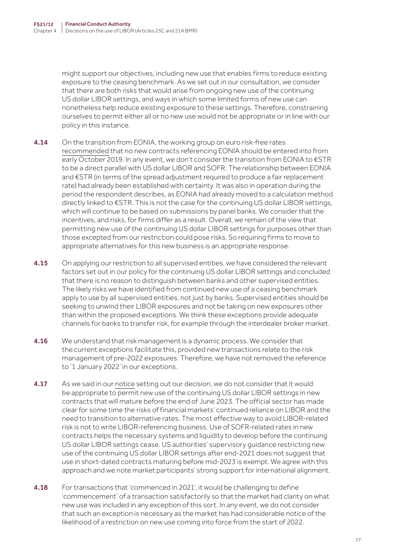might support our objectives, including new use that enables firms to reduce existing exposure to the ceasing benchmark. As we set out in our consultation, we consider that there are both risks that would arise from ongoing new use of the continuing US dollar LIBOR settings, and ways in which some limited forms of new use can nonetheless help reduce existing exposure to these settings. Therefore, constraining ourselves to permit either all or no new use would not be appropriate or in line with our policy in this instance.

- 4.14 On the transition from EONIA, the working group on euro risk-free rates [recommended](https://www.ecb.europa.eu/paym/pdf/cons/euro_risk-free_rates/ecb.eurostr_eonia_legal_action_plan_20190716.en.pdf) that no new contracts referencing EONIA should be entered into from early October 2019. In any event, we don't consider the transition from EONIA to €STR to be a direct parallel with US dollar LIBOR and SOFR. The relationship between EONIA and €STR (in terms of the spread adjustment required to produce a fair replacement rate) had already been established with certainty. It was also in operation during the period the respondent describes, as EONIA had already moved to a calculation method directly linked to €STR. This is not the case for the continuing US dollar LIBOR settings, which will continue to be based on submissions by panel banks. We consider that the incentives, and risks, for firms differ as a result. Overall, we remain of the view that permitting new use of the continuing US dollar LIBOR settings for purposes other than those excepted from our restriction could pose risks. So requiring firms to move to appropriate alternatives for this new business is an appropriate response.
- **4.15** On applying our restriction to all supervised entities, we have considered the relevant factors set out in our policy for the continuing US dollar LIBOR settings and concluded that there is no reason to distinguish between banks and other supervised entities. The likely risks we have identified from continued new use of a ceasing benchmark apply to use by all supervised entities, not just by banks. Supervised entities should be seeking to unwind their LIBOR exposures and not be taking on new exposures other than within the proposed exceptions. We think these exceptions provide adequate channels for banks to transfer risk, for example through the interdealer broker market.
- 4.16 We understand that risk management is a dynamic process. We consider that the current exceptions facilitate this, provided new transactions relate to the risk management of pre-2022 exposures. Therefore, we have not removed the reference to '1 January 2022' in our exceptions.
- 4.17 As we said in our [notice](https://www.fca.org.uk/publication/libor-notices/article-21a-benchmarks-regulation-prohibition-notice.pdf) setting out our decision, we do not consider that it would be appropriate to permit new use of the continuing US dollar LIBOR settings in new contracts that will mature before the end of June 2023. The official sector has made clear for some time the risks of financial markets' continued reliance on LIBOR and the need to transition to alternative rates. The most effective way to avoid LIBOR-related risk is not to write LIBOR-referencing business. Use of SOFR-related rates in new contracts helps the necessary systems and liquidity to develop before the continuing US dollar LIBOR settings cease. US authorities' supervisory guidance restricting new use of the continuing US dollar LIBOR settings after end-2021 does not suggest that use in short-dated contracts maturing before mid-2023 is exempt. We agree with this approach and we note market participants' strong support for international alignment.
- **4.18** For transactions that 'commenced in 2021', it would be challenging to define 'commencement' of a transaction satisfactorily so that the market had clarity on what new use was included in any exception of this sort. In any event, we do not consider that such an exception is necessary as the market has had considerable notice of the likelihood of a restriction on new use coming into force from the start of 2022.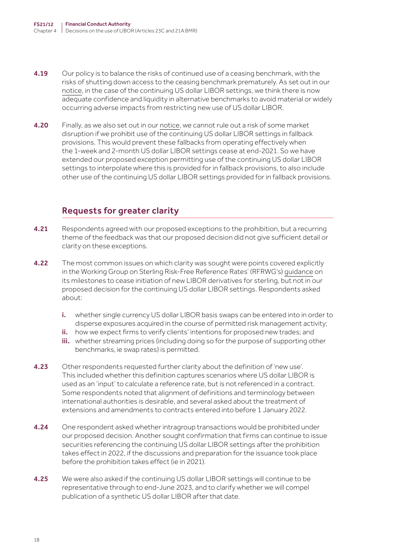- 4.19 Our policy is to balance the risks of continued use of a ceasing benchmark, with the risks of shutting down access to the ceasing benchmark prematurely. As set out in our [notice](https://www.fca.org.uk/publication/libor-notices/article-21a-benchmarks-regulation-prohibition-notice.pdf), in the case of the continuing US dollar LIBOR settings, we think there is now adequate confidence and liquidity in alternative benchmarks to avoid material or widely occurring adverse impacts from restricting new use of US dollar LIBOR.
- **4.20** Finally, as we also set out in our [notice,](https://www.fca.org.uk/publication/libor-notices/article-21a-benchmarks-regulation-prohibition-notice.pdf) we cannot rule out a risk of some market disruption if we prohibit use of the continuing US dollar LIBOR settings in fallback provisions. This would prevent these fallbacks from operating effectively when the 1-week and 2-month US dollar LIBOR settings cease at end-2021. So we have extended our proposed exception permitting use of the continuing US dollar LIBOR settings to interpolate where this is provided for in fallback provisions, to also include other use of the continuing US dollar LIBOR settings provided for in fallback provisions.

## Requests for greater clarity

- 4.21 Respondents agreed with our proposed exceptions to the prohibition, but a recurring theme of the feedback was that our proposed decision did not give sufficient detail or clarity on these exceptions.
- **4.22** The most common issues on which clarity was sought were points covered explicitly in the Working Group on Sterling Risk-Free Reference Rates' (RFRWG's) [guidance](https://www.bankofengland.co.uk/-/media/boe/files/markets/benchmarks/rfr/the-path-for-derivatives-transition-including-exceptions-for-risk-management-purposes.pdf) on its milestones to cease initiation of new LIBOR derivatives for sterling, but not in our proposed decision for the continuing US dollar LIBOR settings. Respondents asked about:
	- i. whether single currency US dollar LIBOR basis swaps can be entered into in order to disperse exposures acquired in the course of permitted risk management activity;
	- ii. how we expect firms to verify clients' intentions for proposed new trades; and
	- iii. whether streaming prices (including doing so for the purpose of supporting other benchmarks, ie swap rates) is permitted.
- 4.23 Other respondents requested further clarity about the definition of 'new use'. This included whether this definition captures scenarios where US dollar LIBOR is used as an 'input' to calculate a reference rate, but is not referenced in a contract. Some respondents noted that alignment of definitions and terminology between international authorities is desirable, and several asked about the treatment of extensions and amendments to contracts entered into before 1 January 2022.
- **4.24** One respondent asked whether intragroup transactions would be prohibited under our proposed decision. Another sought confirmation that firms can continue to issue securities referencing the continuing US dollar LIBOR settings after the prohibition takes effect in 2022, if the discussions and preparation for the issuance took place before the prohibition takes effect (ie in 2021).
- **4.25** We were also asked if the continuing US dollar LIBOR settings will continue to be representative through to end-June 2023, and to clarify whether we will compel publication of a synthetic US dollar LIBOR after that date.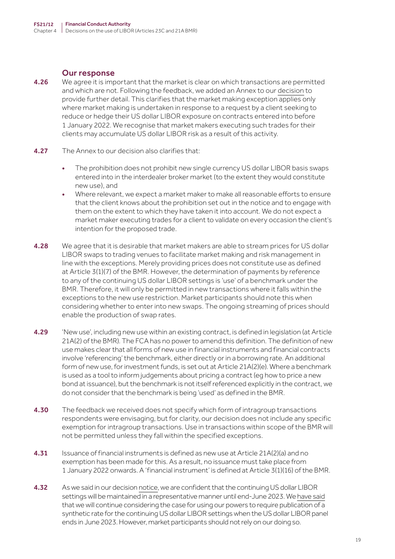- **4.26** We agree it is important that the market is clear on which transactions are permitted and which are not. Following the feedback, we added an Annex to our [decision](https://www.fca.org.uk/publication/libor-notices/article-21a-benchmarks-regulation-prohibition-notice.pdf) to provide further detail. This clarifies that the market making exception applies only where market making is undertaken in response to a request by a client seeking to reduce or hedge their US dollar LIBOR exposure on contracts entered into before 1 January 2022. We recognise that market makers executing such trades for their clients may accumulate US dollar LIBOR risk as a result of this activity.
- **4.27** The Annex to our decision also clarifies that:
	- The prohibition does not prohibit new single currency US dollar LIBOR basis swaps entered into in the interdealer broker market (to the extent they would constitute new use), and
	- Where relevant, we expect a market maker to make all reasonable efforts to ensure that the client knows about the prohibition set out in the notice and to engage with them on the extent to which they have taken it into account. We do not expect a market maker executing trades for a client to validate on every occasion the client's intention for the proposed trade.
- 4.28 We agree that it is desirable that market makers are able to stream prices for US dollar LIBOR swaps to trading venues to facilitate market making and risk management in line with the exceptions. Merely providing prices does not constitute use as defined at Article 3(1)(7) of the BMR. However, the determination of payments by reference to any of the continuing US dollar LIBOR settings is 'use' of a benchmark under the BMR. Therefore, it will only be permitted in new transactions where it falls within the exceptions to the new use restriction. Market participants should note this when considering whether to enter into new swaps. The ongoing streaming of prices should enable the production of swap rates.
- 4.29 'New use', including new use within an existing contract, is defined in legislation (at Article 21A(2) of the BMR). The FCA has no power to amend this definition. The definition of new use makes clear that all forms of new use in financial instruments and financial contracts involve 'referencing' the benchmark, either directly or in a borrowing rate. An additional form of new use, for investment funds, is set out at Article 21A(2)(e). Where a benchmark is used as a tool to inform judgements about pricing a contract (eg how to price a new bond at issuance), but the benchmark is not itself referenced explicitly in the contract, we do not consider that the benchmark is being 'used' as defined in the BMR.
- 4.30 The feedback we received does not specify which form of intragroup transactions respondents were envisaging, but for clarity, our decision does not include any specific exemption for intragroup transactions. Use in transactions within scope of the BMR will not be permitted unless they fall within the specified exceptions.
- **4.31** Issuance of financial instruments is defined as new use at Article 21A(2)(a) and no exemption has been made for this. As a result, no issuance must take place from 1 January 2022 onwards. A 'financial instrument' is defined at Article 3(1)(16) of the BMR.
- 4.32 As we said in our decision [notice,](https://www.fca.org.uk/publication/libor-notices/article-21a-benchmarks-regulation-prohibition-notice.pdf) we are confident that the continuing US dollar LIBOR settings will be maintained in a representative manner until end-June 2023. We [have said](https://www.fca.org.uk/publication/documents/future-cessation-loss-representativeness-libor-benchmarks.pdf) that we will continue considering the case for using our powers to require publication of a synthetic rate for the continuing US dollar LIBOR settings when the US dollar LIBOR panel ends in June 2023. However, market participants should not rely on our doing so.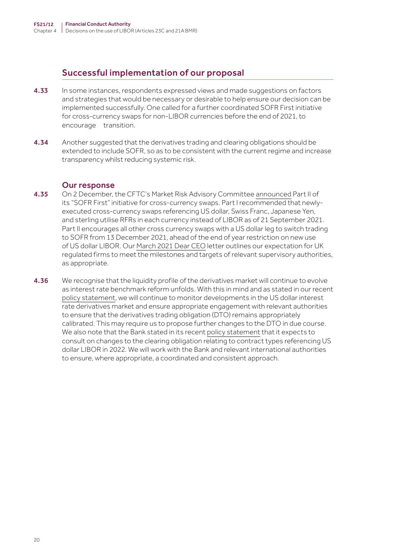### Successful implementation of our proposal

- 4.33 In some instances, respondents expressed views and made suggestions on factors and strategies that would be necessary or desirable to help ensure our decision can be implemented successfully. One called for a further coordinated SOFR First initiative for cross-currency swaps for non-LIBOR currencies before the end of 2021, to encourage transition.
- 4.34 Another suggested that the derivatives trading and clearing obligations should be extended to include SOFR, so as to be consistent with the current regime and increase transparency whilst reducing systemic risk.

- 4.35 On 2 December, the CFTC's Market Risk Advisory Committee [announced](https://www.cftc.gov/PressRoom/PressReleases/8466-21) Part II of its "SOFR First" initiative for cross-currency swaps. Part I recommended that newlyexecuted cross-currency swaps referencing US dollar, Swiss Franc, Japanese Yen, and sterling utilise RFRs in each currency instead of LIBOR as of 21 September 2021. Part II encourages all other cross currency swaps with a US dollar leg to switch trading to SOFR from 13 December 2021, ahead of the end of year restriction on new use of US dollar LIBOR. Our [March 2021 Dear CEO](https://www.bankofengland.co.uk/-/media/boe/files/prudential-regulation/letter/2021/march/transition-from-libor-to-risk-freerates.pdf?la=en&hash=28D5CAB6CE11D930906FAEE35C86982FE159375E) letter outlines our expectation for UK regulated firms to meet the milestones and targets of relevant supervisory authorities, as appropriate.
- 4.36 We recognise that the liquidity profile of the derivatives market will continue to evolve as interest rate benchmark reform unfolds. With this in mind and as stated in our recent [policy statement,](https://www.fca.org.uk/publication/policy/ps21-13.pdf) we will continue to monitor developments in the US dollar interest rate derivatives market and ensure appropriate engagement with relevant authorities to ensure that the derivatives trading obligation (DTO) remains appropriately calibrated. This may require us to propose further changes to the DTO in due course. We also note that the Bank stated in its recent [policy statement](https://www.bankofengland.co.uk/paper/2021/derivatives-clearing-obligation-modifications-to-reflect-interest-rate-benchmark-reform) that it expects to consult on changes to the clearing obligation relating to contract types referencing US dollar LIBOR in 2022. We will work with the Bank and relevant international authorities to ensure, where appropriate, a coordinated and consistent approach.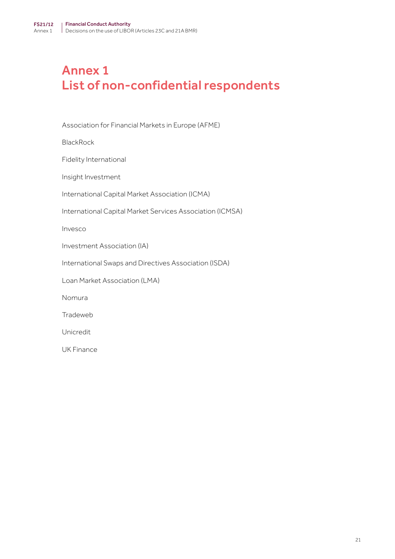## <span id="page-20-0"></span>Annex 1 List of non-confidential respondents

Association for Financial Markets in Europe (AFME)

**BlackRock** 

Fidelity International

Insight Investment

International Capital Market Association (ICMA)

International Capital Market Services Association (ICMSA)

Invesco

Investment Association (IA)

International Swaps and Directives Association (ISDA)

Loan Market Association (LMA)

Nomura

Tradeweb

Unicredit

UK Finance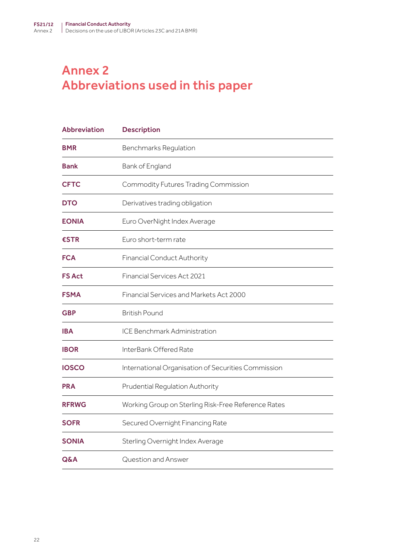## <span id="page-21-0"></span>Annex 2 Abbreviations used in this paper

| <b>Abbreviation</b> | <b>Description</b>                                  |
|---------------------|-----------------------------------------------------|
| <b>BMR</b>          | Benchmarks Regulation                               |
| <b>Bank</b>         | Bank of England                                     |
| <b>CFTC</b>         | Commodity Futures Trading Commission                |
| <b>DTO</b>          | Derivatives trading obligation                      |
| <b>EONIA</b>        | Euro OverNight Index Average                        |
| €STR                | Euro short-term rate                                |
| <b>FCA</b>          | <b>Financial Conduct Authority</b>                  |
| <b>FS Act</b>       | Financial Services Act 2021                         |
| <b>FSMA</b>         | Financial Services and Markets Act 2000             |
| <b>GBP</b>          | <b>British Pound</b>                                |
| <b>IBA</b>          | <b>ICE Benchmark Administration</b>                 |
| <b>IBOR</b>         | InterBank Offered Rate                              |
| <b>IOSCO</b>        | International Organisation of Securities Commission |
| <b>PRA</b>          | Prudential Regulation Authority                     |
| <b>RFRWG</b>        | Working Group on Sterling Risk-Free Reference Rates |
| <b>SOFR</b>         | Secured Overnight Financing Rate                    |
| <b>SONIA</b>        | Sterling Overnight Index Average                    |
| Q&A                 | Question and Answer                                 |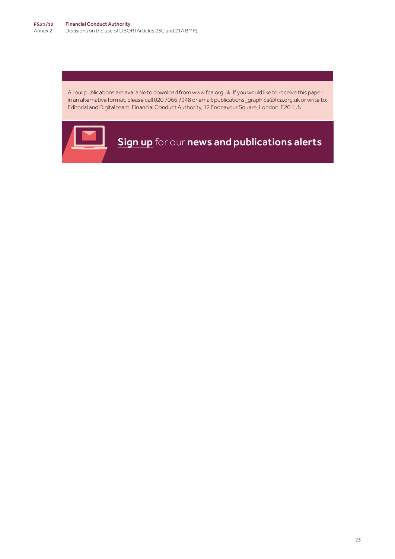All our publications are available to download from www.fca.org.uk. If you would like to receive this paper in an alternative format, please call 020 7066 7948 or email: publications\_graphics@fca.org.uk or write to: Editorial and Digital team, Financial Conduct Authority, 12 Endeavour Square, London, E20 1JN